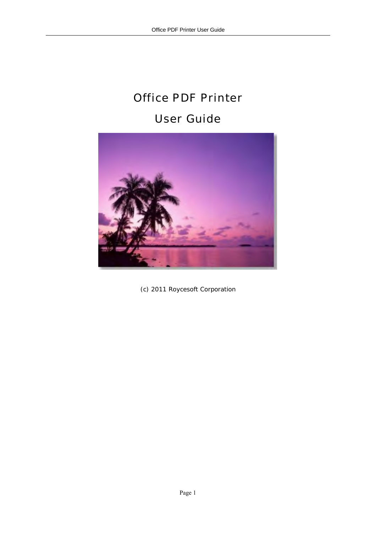## **Office PDF Printer User Guide**



(c) 2011 Roycesoft Corporation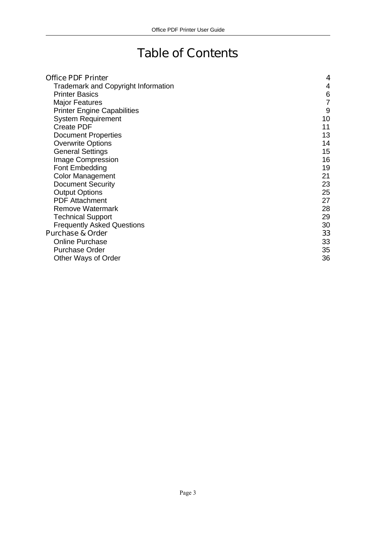## **Table of Contents**

| <b>Office PDF Printer</b>                  | 4              |
|--------------------------------------------|----------------|
| <b>Trademark and Copyright Information</b> | 4              |
| <b>Printer Basics</b>                      | 6              |
| <b>Major Features</b>                      | $\overline{7}$ |
| <b>Printer Engine Capabilities</b>         | 9              |
| <b>System Requirement</b>                  | 10             |
| <b>Create PDF</b>                          | 11             |
| <b>Document Properties</b>                 | 13             |
| <b>Overwrite Options</b>                   | 14             |
| <b>General Settings</b>                    | 15             |
| <b>Image Compression</b>                   | 16             |
| Font Embedding                             | 19             |
| <b>Color Management</b>                    | 21             |
| <b>Document Security</b>                   | 23             |
| <b>Output Options</b>                      | 25             |
| <b>PDF</b> Attachment                      | 27             |
| <b>Remove Watermark</b>                    | 28             |
| <b>Technical Support</b>                   | 29             |
| <b>Frequently Asked Questions</b>          | 30             |
| <b>Purchase &amp; Order</b>                | 33             |
| <b>Online Purchase</b>                     | 33             |
| <b>Purchase Order</b>                      | 35             |
| Other Ways of Order                        | 36             |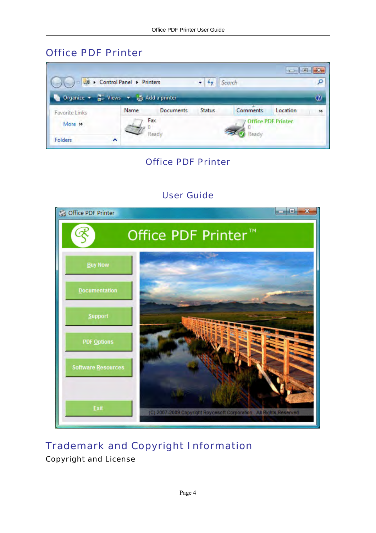## **Office PDF Printer**

| $\begin{pmatrix} -1 \\ -1 \end{pmatrix}$ = $\begin{pmatrix} 0 \\ -1 \end{pmatrix}$ > Control Panel > Printers |                                                |                  |               | Search   | $\Box$                    |              |
|---------------------------------------------------------------------------------------------------------------|------------------------------------------------|------------------|---------------|----------|---------------------------|--------------|
| Favorite Links                                                                                                | Organize + B= Views + B= Add a printer<br>Name | <b>Documents</b> | <b>Status</b> | Comments | Location                  | $\Phi$<br>y, |
| More »                                                                                                        |                                                | Fax<br>Ready     |               |          | <b>Office PDF Printer</b> |              |
| <b>Folders</b>                                                                                                | ×                                              |                  |               |          |                           |              |

## **Office PDF Printer**

### **User Guide**



## **Trademark and Copyright Information**

**Copyright and License**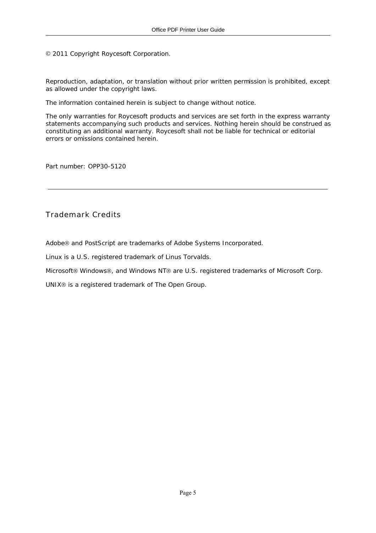2011 Copyright Roycesoft Corporation.

Reproduction, adaptation, or translation without prior written permission is prohibited, except as allowed under the copyright laws.

The information contained herein is subject to change without notice.

The only warranties for Roycesoft products and services are set forth in the express warranty statements accompanying such products and services. Nothing herein should be construed as constituting an additional warranty. Roycesoft shall not be liable for technical or editorial errors or omissions contained herein.

Part number: OPP30-5120

#### **Trademark Credits**

Adobe<sup>®</sup> and PostScript are trademarks of Adobe Systems Incorporated.

Linux is a U.S. registered trademark of Linus Torvalds.

Microsoft® Windows®, and Windows NT® are U.S. registered trademarks of Microsoft Corp.

UNIX<sup>®</sup> is a registered trademark of The Open Group.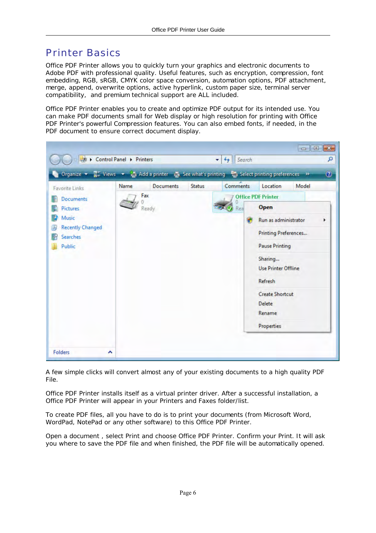## **Printer Basics**

Office PDF Printer allows you to quickly turn your graphics and electronic documents to Adobe PDF with professional quality. Useful features, such as encryption, compression, font embedding, RGB, sRGB, CMYK color space conversion, automation options, PDF attachment, merge, append, overwrite options, active hyperlink, custom paper size, terminal server compatibility, and premium technical support are ALL included.

Office PDF Printer enables you to create and optimize PDF output for its intended use. You can make PDF documents small for Web display or high resolution for printing with Office PDF Printer's powerful Compression features. You can also embed fonts, if needed, in the PDF document to ensure correct document display.



A few simple clicks will convert almost any of your existing documents to a high quality PDF File.

Office PDF Printer installs itself as a virtual printer driver. After a successful installation, a Office PDF Printer will appear in your Printers and Faxes folder/list.

To create PDF files, all you have to do is to print your documents (from Microsoft Word, WordPad, NotePad or any other software) to this Office PDF Printer.

Open a document , select Print and choose Office PDF Printer. Confirm your Print. It will ask you where to save the PDF file and when finished, the PDF file will be automatically opened.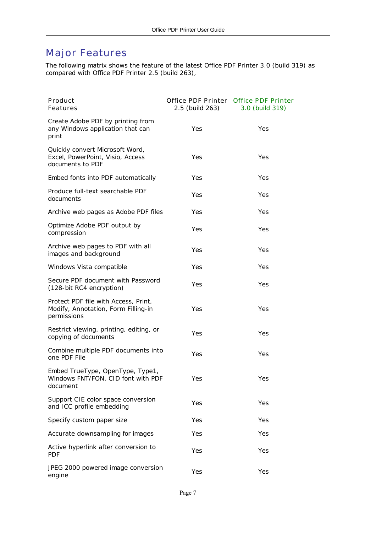## **Major Features**

The following matrix shows the feature of the latest Office PDF Printer 3.0 (build 319) as compared with Office PDF Printer 2.5 (build 263),

| Product<br>Features                                                                        | 2.5 (build 263) | Office PDF Printer Office PDF Printer<br>3.0 (build 319) |
|--------------------------------------------------------------------------------------------|-----------------|----------------------------------------------------------|
| Create Adobe PDF by printing from<br>any Windows application that can<br>print             | <b>Yes</b>      | Yes                                                      |
| Quickly convert Microsoft Word,<br>Excel, PowerPoint, Visio, Access<br>documents to PDF    | Yes             | Yes                                                      |
| Embed fonts into PDF automatically                                                         | Yes             | Yes                                                      |
| Produce full-text searchable PDF<br>documents                                              | Yes             | Yes                                                      |
| Archive web pages as Adobe PDF files                                                       | Yes             | Yes                                                      |
| Optimize Adobe PDF output by<br>compression                                                | Yes             | Yes                                                      |
| Archive web pages to PDF with all<br>images and background                                 | Yes             | Yes                                                      |
| Windows Vista compatible                                                                   | Yes             | Yes                                                      |
| Secure PDF document with Password<br>(128-bit RC4 encryption)                              | Yes             | Yes                                                      |
| Protect PDF file with Access, Print,<br>Modify, Annotation, Form Filling-in<br>permissions | Yes             | Yes                                                      |
| Restrict viewing, printing, editing, or<br>copying of documents                            | Yes             | Yes                                                      |
| Combine multiple PDF documents into<br>one PDF File                                        | Yes             | Yes                                                      |
| Embed TrueType, OpenType, Type1,<br>Windows FNT/FON, CID font with PDF<br>document         | Yes             | Yes                                                      |
| Support CIE color space conversion<br>and ICC profile embedding                            | Yes             | Yes                                                      |
| Specify custom paper size                                                                  | Yes             | Yes                                                      |
| Accurate downsampling for images                                                           | Yes             | Yes                                                      |
| Active hyperlink after conversion to<br><b>PDF</b>                                         | Yes             | Yes                                                      |
| JPEG 2000 powered image conversion<br>engine                                               | Yes             | Yes                                                      |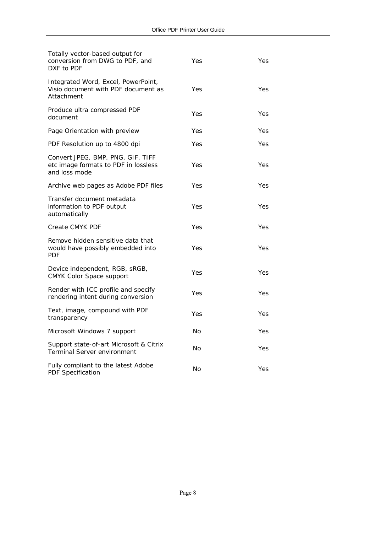| Totally vector-based output for<br>conversion from DWG to PDF, and<br>DXF to PDF           | Yes | Yes |
|--------------------------------------------------------------------------------------------|-----|-----|
| Integrated Word, Excel, PowerPoint,<br>Visio document with PDF document as<br>Attachment   | Yes | Yes |
| Produce ultra compressed PDF<br>document                                                   | Yes | Yes |
| Page Orientation with preview                                                              | Yes | Yes |
| PDF Resolution up to 4800 dpi                                                              | Yes | Yes |
| Convert JPEG, BMP, PNG, GIF, TIFF<br>etc image formats to PDF in lossless<br>and loss mode | Yes | Yes |
| Archive web pages as Adobe PDF files                                                       | Yes | Yes |
| Transfer document metadata<br>information to PDF output<br>automatically                   | Yes | Yes |
| Create CMYK PDF                                                                            | Yes | Yes |
| Remove hidden sensitive data that<br>would have possibly embedded into<br><b>PDF</b>       | Yes | Yes |
| Device independent, RGB, sRGB,<br><b>CMYK Color Space support</b>                          | Yes | Yes |
| Render with ICC profile and specify<br>rendering intent during conversion                  | Yes | Yes |
| Text, image, compound with PDF<br>transparency                                             | Yes | Yes |
| Microsoft Windows 7 support                                                                | No  | Yes |
| Support state-of-art Microsoft & Citrix<br>Terminal Server environment                     | No  | Yes |
| Fully compliant to the latest Adobe<br><b>PDF Specification</b>                            | No  | Yes |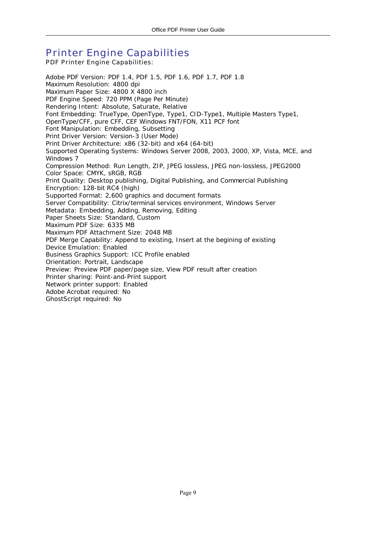## **Printer Engine Capabilities**

**PDF Printer Engine Capabilities:**

Adobe PDF Version: PDF 1.4, PDF 1.5, PDF 1.6, PDF 1.7, PDF 1.8 Maximum Resolution: 4800 dpi Maximum Paper Size: 4800 X 4800 inch PDF Engine Speed: 720 PPM (Page Per Minute) Rendering Intent: Absolute, Saturate, Relative Font Embedding: TrueType, OpenType, Type1, CID-Type1, Multiple Masters Type1, OpenType/CFF, pure CFF, CEF Windows FNT/FON, X11 PCF font Font Manipulation: Embedding, Subsetting Print Driver Version: Version-3 (User Mode) Print Driver Architecture: x86 (32-bit) and x64 (64-bit) Supported Operating Systems: Windows Server 2008, 2003, 2000, XP, Vista, MCE, and Windows 7 Compression Method: Run Length, ZIP, JPEG lossless, JPEG non-lossless, JPEG2000 Color Space: CMYK, sRGB, RGB Print Quality: Desktop publishing, Digital Publishing, and Commercial Publishing Encryption: 128-bit RC4 (high) Supported Format: 2,600 graphics and document formats Server Compatibility: Citrix/terminal services environment, Windows Server Metadata: Embedding, Adding, Removing, Editing Paper Sheets Size: Standard, Custom Maximum PDF Size: 6335 MB Maximum PDF Attachment Size: 2048 MB PDF Merge Capability: Append to existing, Insert at the begining of existing Device Emulation: Enabled Business Graphics Support: ICC Profile enabled Orientation: Portrait, Landscape Preview: Preview PDF paper/page size, View PDF result after creation Printer sharing: Point-and-Print support Network printer support: Enabled Adobe Acrobat required: No GhostScript required: No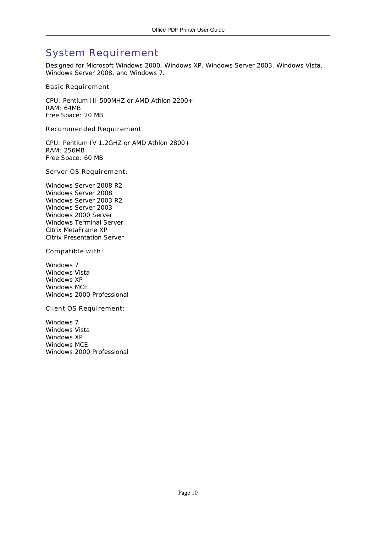## **System Requirement**

Designed for Microsoft Windows 2000, Windows XP, Windows Server 2003, Windows Vista, Windows Server 2008, and Windows 7.

**Basic Requirement**

CPU: Pentium III 500MHZ or AMD Athlon 2200+ RAM: 64MB Free Space: 20 MB

**Recommended Requirement**

CPU: Pentium IV 1.2GHZ or AMD Athlon 2800+ RAM: 256MB Free Space: 60 MB

**Server OS Requirement:**

Windows Server 2008 R2 Windows Server 2008 Windows Server 2003 R2 Windows Server 2003 Windows 2000 Server Windows Terminal Server Citrix MetaFrame XP Citrix Presentation Server

**Compatible with:**

Windows 7 Windows Vista Windows XP Windows MCE Windows 2000 Professional

**Client OS Requirement:**

Windows 7 Windows Vista Windows XP Windows MCE Windows 2000 Professional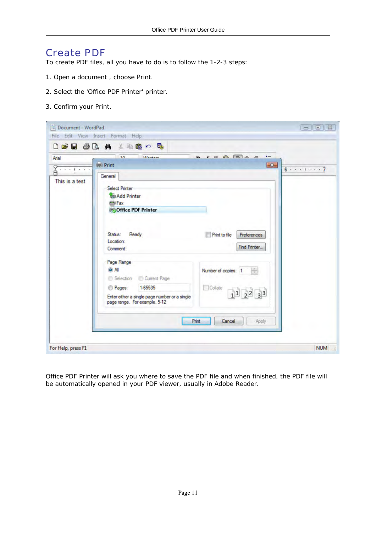## **Create PDF**

To create PDF files, all you have to do is to follow the 1-2-3 steps:

- 1. Open a document , choose Print.
- 2. Select the 'Office PDF Printer' printer.
- 3. Confirm your Print.



Office PDF Printer will ask you where to save the PDF file and when finished, the PDF file will be automatically opened in your PDF viewer, usually in Adobe Reader.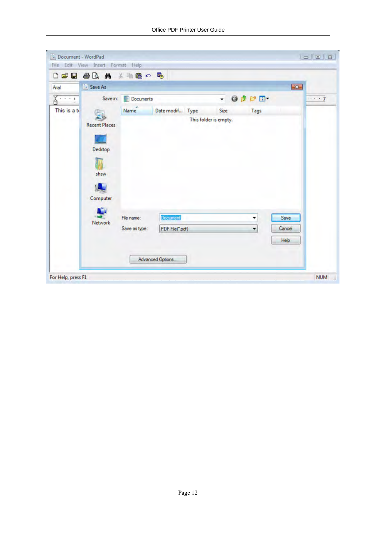|                       | DER SQ A & RBO B                               |                             |                                                 |                       |      |         |                        |            |
|-----------------------|------------------------------------------------|-----------------------------|-------------------------------------------------|-----------------------|------|---------|------------------------|------------|
| Arial                 | <b>E</b> Save As                               |                             |                                                 |                       |      |         | $\mathbf{z}$           |            |
| $x \cdot \cdot \cdot$ |                                                | Save in: Documents          |                                                 |                       |      | $- 000$ |                        | $\cdots$ 7 |
| This is a to          |                                                | Name                        | Date modif Type                                 |                       | Size | Tags    |                        |            |
|                       | <b>Recent Places</b><br><b>Desktop</b><br>shsw |                             |                                                 | This folder is empty. |      |         |                        |            |
|                       | Computer<br><b>Network</b>                     | File name:<br>Save as type: | Document<br>PDF File(".pdf)<br>Advanced Options |                       |      | ▼<br>٠  | Save<br>Cancel<br>Help |            |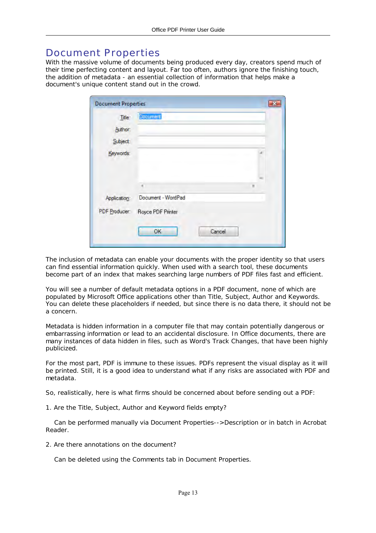### **Document Properties**

With the massive volume of documents being produced every day, creators spend much of their time perfecting content and layout. Far too often, authors ignore the finishing touch, the addition of metadata - an essential collection of information that helps make a document's unique content stand out in the crowd.

| Title:        | <b>Document</b>    |          |
|---------------|--------------------|----------|
| Author:       |                    |          |
| Subject:      |                    |          |
| Keywords:     |                    |          |
|               |                    |          |
|               |                    | <b>H</b> |
| Application:  | Document - WordPad |          |
| PDF Producer: | Royce PDF Printer  |          |
|               | OK<br>Cancel       |          |

The inclusion of metadata can enable your documents with the proper identity so that users can find essential information quickly. When used with a search tool, these documents become part of an index that makes searching large numbers of PDF files fast and efficient.

You will see a number of default metadata options in a PDF document, none of which are populated by Microsoft Office applications other than Title, Subject, Author and Keywords. You can delete these placeholders if needed, but since there is no data there, it should not be a concern.

Metadata is hidden information in a computer file that may contain potentially dangerous or embarrassing information or lead to an accidental disclosure. In Office documents, there are many instances of data hidden in files, such as Word's Track Changes, that have been highly publicized.

For the most part, PDF is immune to these issues. PDFs represent the visual display as it will be printed. Still, it is a good idea to understand what if any risks are associated with PDF and metadata.

So, realistically, here is what firms should be concerned about before sending out a PDF:

1. Are the Title, Subject, Author and Keyword fields empty?

 Can be performed manually via Document Properties-->Description or in batch in Acrobat Reader.

2. Are there annotations on the document?

Can be deleted using the Comments tab in Document Properties.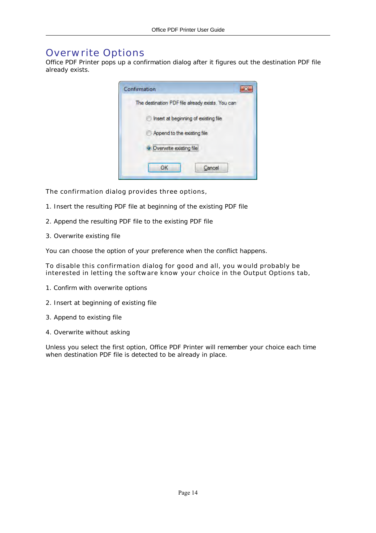## **Overwrite Options**

Office PDF Printer pops up a confirmation dialog after it figures out the destination PDF file already exists.

| Confirmation                                     |  |
|--------------------------------------------------|--|
| The destination PDF file already exists. You can |  |
| Insert at beginning of existing file             |  |
| Append to the existing file                      |  |
| O Overwrite existing file                        |  |
| OК<br>Cancel                                     |  |

**The confirmation dialog provides three options,**

- 1. Insert the resulting PDF file at beginning of the existing PDF file
- 2. Append the resulting PDF file to the existing PDF file
- 3. Overwrite existing file

You can choose the option of your preference when the conflict happens.

**To disable this confirmation dialog for good and all, you would probably be interested in letting the software know your choice in the Output Options tab,**

- 1. Confirm with overwrite options
- 2. Insert at beginning of existing file
- 3. Append to existing file
- 4. Overwrite without asking

Unless you select the first option, Office PDF Printer will remember your choice each time when destination PDF file is detected to be already in place.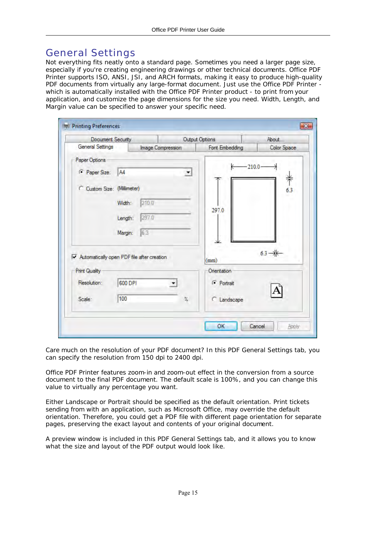## **General Settings**

Not everything fits neatly onto a standard page. Sometimes you need a larger page size, especially if you're creating engineering drawings or other technical documents. Office PDF Printer supports ISO, ANSI, JSI, and ARCH formats, making it easy to produce high-quality PDF documents from virtually any large-format document. Just use the Office PDF Printer which is automatically installed with the Office PDF Printer product - to print from your application, and customize the page dimensions for the size you need. Width, Length, and Margin value can be specified to answer your specific need.

| Document Security                            |         |                   |                  | Output Options | About                       |
|----------------------------------------------|---------|-------------------|------------------|----------------|-----------------------------|
| <b>General Settings</b>                      |         | Image Compression |                  | Font Embedding | Color Space                 |
| Paper Options                                |         |                   |                  |                |                             |
| Paper Size:                                  | A4      |                   |                  |                | 210.0                       |
| C Custom Size: (Millimeter)                  |         |                   |                  |                | $\frac{*}{\uparrow}$<br>6.3 |
|                                              | Width:  | 210.0             |                  |                |                             |
|                                              | Length: | 2970              |                  | 297.0          |                             |
|                                              | Margin: | 6,3               |                  |                |                             |
|                                              |         |                   |                  |                |                             |
| V Automatically open PDF file after creation |         |                   |                  | (mm)           | $63 +$                      |
| <b>Print Quality</b>                         |         |                   |                  | Orientation    |                             |
| Resolution:                                  | 600 DPI |                   |                  | • Portrait     |                             |
| Scale:                                       | 100     |                   | $\gamma_{\rm s}$ | C Landscape    |                             |
|                                              |         |                   |                  |                |                             |

Care much on the resolution of your PDF document? In this PDF General Settings tab, you can specify the resolution from 150 dpi to 2400 dpi.

Office PDF Printer features zoom-in and zoom-out effect in the conversion from a source document to the final PDF document. The default scale is 100%, and you can change this value to virtually any percentage you want.

Either Landscape or Portrait should be specified as the default orientation. Print tickets sending from with an application, such as Microsoft Office, may override the default orientation. Therefore, you could get a PDF file with different page orientation for separate pages, preserving the exact layout and contents of your original document.

A preview window is included in this PDF General Settings tab, and it allows you to know what the size and layout of the PDF output would look like.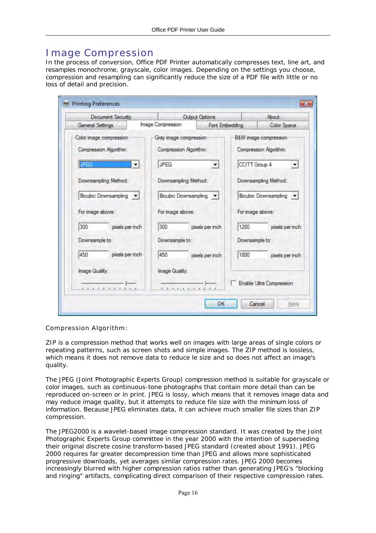## **Image Compression**

In the process of conversion, Office PDF Printer automatically compresses text, line art, and resamples monochrome, grayscale, color images. Depending on the settings you choose, compression and resampling can significantly reduce the size of a PDF file with little or no loss of detail and precision.

| <b>Document Security</b>         |                      |                        | Output Options         |                  | About                    |
|----------------------------------|----------------------|------------------------|------------------------|------------------|--------------------------|
| General Settings                 |                      | Image Compression      | Font Embedding         |                  | <b>Color Space</b>       |
| Color image compression          |                      | Gray image compression |                        |                  | B&W image compression    |
| Compression Algorithm:           |                      | Compression Algorithm: |                        |                  | Compression Algorithm:   |
| UPEG                             | $\blacktriangledown$ | <b>JPEG</b>            |                        | CCITT Group 4    |                          |
| Downsampling Method:             |                      | Downsampling Method:   |                        |                  | Downsampling Method:     |
| Bicubic Downsampling v           |                      |                        | Bicubic Downsampling v |                  | Bicubic Downsampling     |
| For image above:                 |                      | For image above:       |                        | For image above: |                          |
| 300                              | pixels per inch      | 300                    | pixels per inch        | 1200             | pixels per inch          |
| Downsample to:                   |                      | Downsample to:         |                        | Downsample to:   |                          |
| 450                              | pixels per inch      | 450                    | pixels per inch        | 1800             | pixels per inch          |
| Image Quality:                   |                      | Image Quality:         |                        |                  |                          |
| 30 30 30 30 30 30 30 30 30 30 40 |                      |                        | TTI TTI TTI TTI        |                  | Enable Ultra Compression |

**Compression Algorithm:**

ZIP is a compression method that works well on images with large areas of single colors or repeating patterns, such as screen shots and simple images. The ZIP method is lossless, which means it does not remove data to reduce le size and so does not affect an image's quality.

The JPEG (Joint Photographic Experts Group) compression method is suitable for grayscale or color images, such as continuous-tone photographs that contain more detail than can be reproduced on-screen or in print. JPEG is lossy, which means that it removes image data and may reduce image quality, but it attempts to reduce file size with the minimum loss of information. Because JPEG eliminates data, it can achieve much smaller file sizes than ZIP compression.

The JPEG2000 is a wavelet-based image compression standard. It was created by the Joint Photographic Experts Group committee in the year 2000 with the intention of superseding their original discrete cosine transform-based JPEG standard (created about 1991). JPEG 2000 requires far greater decompression time than JPEG and allows more sophisticated progressive downloads, yet averages similar compression rates. JPEG 2000 becomes increasingly blurred with higher compression ratios rather than generating JPEG's "blocking and ringing" artifacts, complicating direct comparison of their respective compression rates.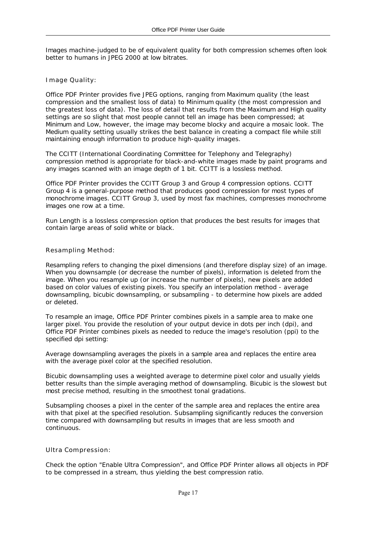Images machine-judged to be of equivalent quality for both compression schemes often look better to humans in JPEG 2000 at low bitrates.

#### **Image Quality:**

Office PDF Printer provides five JPEG options, ranging from Maximum quality (the least compression and the smallest loss of data) to Minimum quality (the most compression and the greatest loss of data). The loss of detail that results from the Maximum and High quality settings are so slight that most people cannot tell an image has been compressed; at Minimum and Low, however, the image may become blocky and acquire a mosaic look. The Medium quality setting usually strikes the best balance in creating a compact file while still maintaining enough information to produce high-quality images.

The CCITT (International Coordinating Committee for Telephony and Telegraphy) compression method is appropriate for black-and-white images made by paint programs and any images scanned with an image depth of 1 bit. CCITT is a lossless method.

Office PDF Printer provides the CCITT Group 3 and Group 4 compression options. CCITT Group 4 is a general-purpose method that produces good compression for most types of monochrome images. CCITT Group 3, used by most fax machines, compresses monochrome images one row at a time.

Run Length is a lossless compression option that produces the best results for images that contain large areas of solid white or black.

#### **Resampling Method:**

Resampling refers to changing the pixel dimensions (and therefore display size) of an image. When you downsample (or decrease the number of pixels), information is deleted from the image. When you resample up (or increase the number of pixels), new pixels are added based on color values of existing pixels. You specify an interpolation method - average downsampling, bicubic downsampling, or subsampling - to determine how pixels are added or deleted.

To resample an image, Office PDF Printer combines pixels in a sample area to make one larger pixel. You provide the resolution of your output device in dots per inch (dpi), and Office PDF Printer combines pixels as needed to reduce the image's resolution (ppi) to the specified dpi setting:

Average downsampling averages the pixels in a sample area and replaces the entire area with the average pixel color at the specified resolution.

Bicubic downsampling uses a weighted average to determine pixel color and usually yields better results than the simple averaging method of downsampling. Bicubic is the slowest but most precise method, resulting in the smoothest tonal gradations.

Subsampling chooses a pixel in the center of the sample area and replaces the entire area with that pixel at the specified resolution. Subsampling significantly reduces the conversion time compared with downsampling but results in images that are less smooth and continuous.

#### **Ultra Compression:**

Check the option "Enable Ultra Compression", and Office PDF Printer allows all objects in PDF to be compressed in a stream, thus yielding the best compression ratio.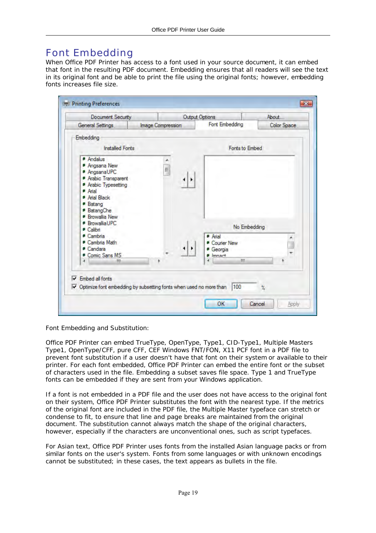## **Font Embedding**

When Office PDF Printer has access to a font used in your source document, it can embed that font in the resulting PDF document. Embedding ensures that all readers will see the text in its original font and be able to print the file using the original fonts; however, embedding fonts increases file size.

|                                                                                                                                                                                                                                                                                                                                    | <b>Document Security</b> |                   | Output Options                                                                   | About         |
|------------------------------------------------------------------------------------------------------------------------------------------------------------------------------------------------------------------------------------------------------------------------------------------------------------------------------------|--------------------------|-------------------|----------------------------------------------------------------------------------|---------------|
| <b>General Settings</b>                                                                                                                                                                                                                                                                                                            |                          | Image Compression | Font Embedding                                                                   | Color Space   |
| Embedding<br><b>Installed Fonts</b>                                                                                                                                                                                                                                                                                                |                          |                   | Fonts to Embed                                                                   |               |
| <b>Andalus</b><br>Angsana New<br>AngsanaUPC<br>Arabic Transparent<br>Arabic Typesetting<br># Arial<br><b>Arial Black</b><br><b>Batang</b><br><b>BatangChe</b><br><b><sup>8</sup> Browallia New</b><br><b>BrowalliaUPC</b><br><b>*</b> Calibri<br>Cambria<br><sup>*</sup> Cambria Math<br><b>Candara</b><br>Comic Sans MS<br>ш<br>ë |                          | E                 | No Embedding<br># Arial<br>Courier New<br><b>Georgia</b><br>Imnact<br>m<br>HT.   |               |
| $\triangledown$ Embed all fonts                                                                                                                                                                                                                                                                                                    |                          |                   | $\nabla$ Optimize font embedding by subsetting fonts when used no more than  100 | $\frac{1}{2}$ |

Font Embedding and Substitution:

Office PDF Printer can embed TrueType, OpenType, Type1, CID-Type1, Multiple Masters Type1, OpenType/CFF, pure CFF, CEF Windows FNT/FON, X11 PCF font in a PDF file to prevent font substitution if a user doesn't have that font on their system or available to their printer. For each font embedded, Office PDF Printer can embed the entire font or the subset of characters used in the file. Embedding a subset saves file space. Type 1 and TrueType fonts can be embedded if they are sent from your Windows application.

If a font is not embedded in a PDF file and the user does not have access to the original font on their system, Office PDF Printer substitutes the font with the nearest type. If the metrics of the original font are included in the PDF file, the Multiple Master typeface can stretch or condense to fit, to ensure that line and page breaks are maintained from the original document. The substitution cannot always match the shape of the original characters, however, especially if the characters are unconventional ones, such as script typefaces.

For Asian text, Office PDF Printer uses fonts from the installed Asian language packs or from similar fonts on the user's system. Fonts from some languages or with unknown encodings cannot be substituted; in these cases, the text appears as bullets in the file.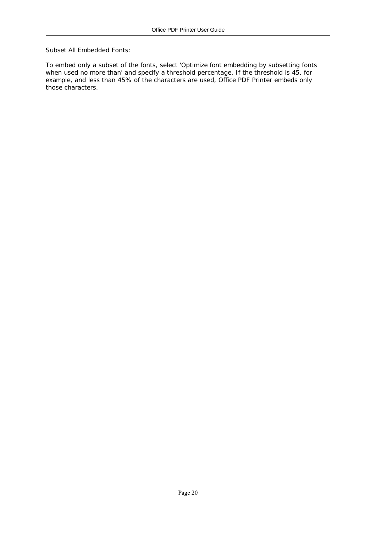#### Subset All Embedded Fonts:

To embed only a subset of the fonts, select 'Optimize font embedding by subsetting fonts when used no more than' and specify a threshold percentage. If the threshold is 45, for example, and less than 45% of the characters are used, Office PDF Printer embeds only those characters.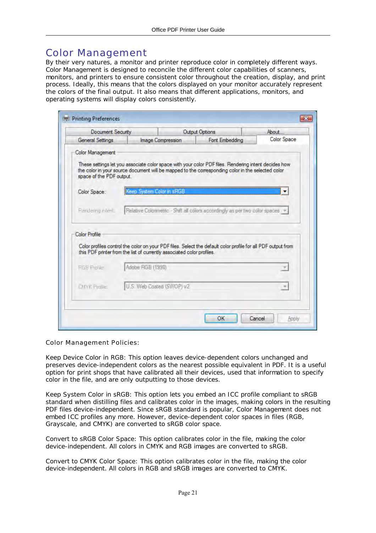## **Color Management**

By their very natures, a monitor and printer reproduce color in completely different ways. Color Management is designed to reconcile the different color capabilities of scanners, monitors, and printers to ensure consistent color throughout the creation, display, and print process. Ideally, this means that the colors displayed on your monitor accurately represent the colors of the final output. It also means that different applications, monitors, and operating systems will display colors consistently.

|                          | <b>Document Security</b>                                                                                                                                                               | Output Options | About              |
|--------------------------|----------------------------------------------------------------------------------------------------------------------------------------------------------------------------------------|----------------|--------------------|
| <b>General Settings</b>  | Image Compression                                                                                                                                                                      | Font Embedding | <b>Color Space</b> |
| <b>Color Management</b>  |                                                                                                                                                                                        |                |                    |
|                          | These settings let you associate color space with your color PDF files. Rendering intent decides how                                                                                   |                |                    |
|                          | the color in your source document will be mapped to the corresponding color in the selected color                                                                                      |                |                    |
| space of the PDF output. |                                                                                                                                                                                        |                |                    |
| Color Space:             | <b>Keep System Color in sRGB</b>                                                                                                                                                       |                |                    |
|                          |                                                                                                                                                                                        |                |                    |
| Rendering intent:        | Relative Colonmetric - Shift all colors accordingly as per two color spaces *                                                                                                          |                |                    |
|                          |                                                                                                                                                                                        |                |                    |
|                          |                                                                                                                                                                                        |                |                    |
|                          |                                                                                                                                                                                        |                |                    |
| <b>Color Profile</b>     |                                                                                                                                                                                        |                |                    |
|                          |                                                                                                                                                                                        |                |                    |
|                          | Color profiles control the color on your PDF files. Select the default color profile for all PDF output from<br>this PDF printer from the list of currently associated color profiles. |                |                    |
|                          |                                                                                                                                                                                        |                |                    |
| <b>RGB Profile</b>       | Adobe RGB (1998)                                                                                                                                                                       |                |                    |
|                          |                                                                                                                                                                                        |                |                    |
| CMY/C Prafile.           | U.S. Web Coated (SWOP) v2                                                                                                                                                              |                |                    |
|                          |                                                                                                                                                                                        |                |                    |

**Color Management Policies:**

Keep Device Color in RGB: This option leaves device-dependent colors unchanged and preserves device-independent colors as the nearest possible equivalent in PDF. It is a useful option for print shops that have calibrated all their devices, used that information to specify color in the file, and are only outputting to those devices.

Keep System Color in sRGB: This option lets you embed an ICC profile compliant to sRGB standard when distilling files and calibrates color in the images, making colors in the resulting PDF files device-independent. Since sRGB standard is popular, Color Management does not embed ICC profiles any more. However, device-dependent color spaces in files (RGB, Grayscale, and CMYK) are converted to sRGB color space.

Convert to sRGB Color Space: This option calibrates color in the file, making the color device-independent. All colors in CMYK and RGB images are converted to sRGB.

Convert to CMYK Color Space: This option calibrates color in the file, making the color device-independent. All colors in RGB and sRGB images are converted to CMYK.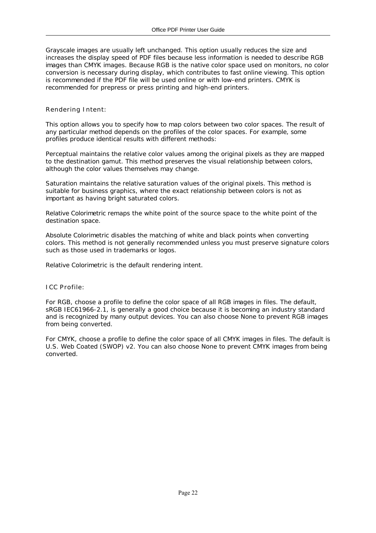Grayscale images are usually left unchanged. This option usually reduces the size and increases the display speed of PDF files because less information is needed to describe RGB images than CMYK images. Because RGB is the native color space used on monitors, no color conversion is necessary during display, which contributes to fast online viewing. This option is recommended if the PDF file will be used online or with low-end printers. CMYK is recommended for prepress or press printing and high-end printers.

#### **Rendering Intent:**

This option allows you to specify how to map colors between two color spaces. The result of any particular method depends on the profiles of the color spaces. For example, some profiles produce identical results with different methods:

Perceptual maintains the relative color values among the original pixels as they are mapped to the destination gamut. This method preserves the visual relationship between colors, although the color values themselves may change.

Saturation maintains the relative saturation values of the original pixels. This method is suitable for business graphics, where the exact relationship between colors is not as important as having bright saturated colors.

Relative Colorimetric remaps the white point of the source space to the white point of the destination space.

Absolute Colorimetric disables the matching of white and black points when converting colors. This method is not generally recommended unless you must preserve signature colors such as those used in trademarks or logos.

Relative Colorimetric is the default rendering intent.

#### **ICC Profile:**

For RGB, choose a profile to define the color space of all RGB images in files. The default, sRGB IEC61966-2.1, is generally a good choice because it is becoming an industry standard and is recognized by many output devices. You can also choose None to prevent RGB images from being converted.

For CMYK, choose a profile to define the color space of all CMYK images in files. The default is U.S. Web Coated (SWOP) v2. You can also choose None to prevent CMYK images from being converted.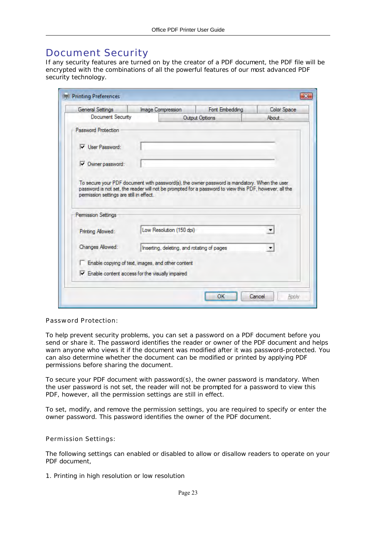### **Document Security**

If any security features are turned on by the creator of a PDF document, the PDF file will be encrypted with the combinations of all the powerful features of our most advanced PDF security technology.

| <b>General Settings</b>                         | Image Compression                                                                            | Font Embedding                             | <b>Color Space</b>                                                                                     |
|-------------------------------------------------|----------------------------------------------------------------------------------------------|--------------------------------------------|--------------------------------------------------------------------------------------------------------|
| <b>Document Security</b>                        |                                                                                              | Output Options                             | About                                                                                                  |
| Password Protection                             |                                                                                              |                                            |                                                                                                        |
| V User Password:                                |                                                                                              |                                            |                                                                                                        |
| $\triangledown$ Owner password:                 |                                                                                              |                                            |                                                                                                        |
|                                                 | To secure your PDF document with password(s), the owner password is mandatory. When the user |                                            | password is not set, the reader will not be prompted for a password to view this PDF, however, all the |
| permission settings are still in effect.        |                                                                                              |                                            |                                                                                                        |
| <b>Permission Settings</b><br>Printing Allowed: | Low Resolution (150 dpi)                                                                     |                                            |                                                                                                        |
| Changes Allowed:                                |                                                                                              | Inserting, deleting, and rotating of pages |                                                                                                        |
|                                                 | Enable copying of text, images, and other content                                            |                                            |                                                                                                        |
|                                                 |                                                                                              |                                            |                                                                                                        |

**Password Protection:**

To help prevent security problems, you can set a password on a PDF document before you send or share it. The password identifies the reader or owner of the PDF document and helps warn anyone who views it if the document was modified after it was password-protected. You can also determine whether the document can be modified or printed by applying PDF permissions before sharing the document.

To secure your PDF document with password(s), the owner password is mandatory. When the user password is not set, the reader will not be prompted for a password to view this PDF, however, all the permission settings are still in effect.

To set, modify, and remove the permission settings, you are required to specify or enter the owner password. This password identifies the owner of the PDF document.

**Permission Settings:**

The following settings can enabled or disabled to allow or disallow readers to operate on your PDF document,

1. Printing in high resolution or low resolution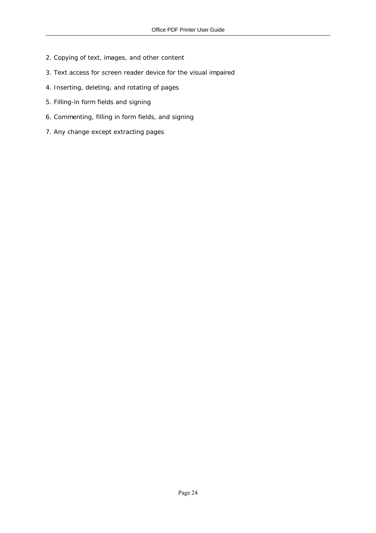- 2. Copying of text, images, and other content
- 3. Text access for screen reader device for the visual impaired
- 4. Inserting, deleting, and rotating of pages
- 5. Filling-in form fields and signing
- 6. Commenting, filling in form fields, and signing
- 7. Any change except extracting pages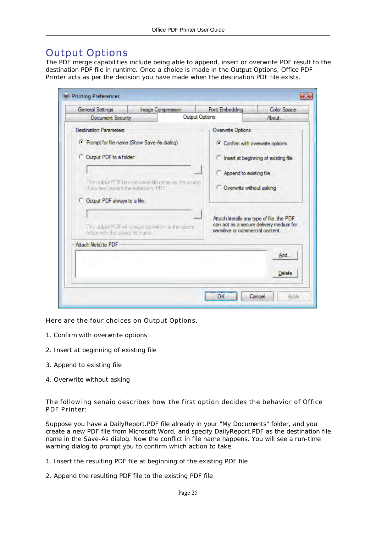### **Output Options**

The PDF merge capabilities include being able to append, insert or overwrite PDF result to the destination PDF file in runtime. Once a choice is made in the Output Options, Office PDF Printer acts as per the decision you have made when the destination PDF file exists.

| <b>General Settings</b>                                                                                                                                                                                  | Image Compression | Font Embedding    | <b>Color Space</b>                                                                                                                  |  |
|----------------------------------------------------------------------------------------------------------------------------------------------------------------------------------------------------------|-------------------|-------------------|-------------------------------------------------------------------------------------------------------------------------------------|--|
| <b>Document Security</b>                                                                                                                                                                                 |                   | Output Options    | About                                                                                                                               |  |
| <b>Destination Parameters</b><br>• Prompt for file name (Show Save-As dialog)<br>C Output PDF to a folder:<br>The output PDF has the same file name as the source.<br>document except the extension .PDF |                   | Overwrite Options | C Confirm with overwrite options<br>C Insert at beginning of existing file<br>Append to existing file<br>C Overwrite without asking |  |
| Output PDF always to a file:<br>o<br>The output PDF will always be written to the above<br>folder with the above file name.                                                                              |                   |                   | Attach literally any type of file, the PDF<br>can act as a secure delivery medium for<br>sensitive or commercial content.           |  |
| Attach file(s) to PDF                                                                                                                                                                                    |                   |                   | Add                                                                                                                                 |  |
|                                                                                                                                                                                                          |                   |                   | Delete                                                                                                                              |  |

**Here are the four choices on Output Options,**

- 1. Confirm with overwrite options
- 2. Insert at beginning of existing file
- 3. Append to existing file
- 4. Overwrite without asking

**The following senaio describes how the first option decides the behavior of Office PDF Printer:**

Suppose you have a DailyReport.PDF file already in your "My Documents" folder, and you create a new PDF file from Microsoft Word, and specify DailyReport.PDF as the destination file name in the Save-As dialog. Now the conflict in file name happens. You will see a run-time warning dialog to prompt you to confirm which action to take,

- 1. Insert the resulting PDF file at beginning of the existing PDF file
- 2. Append the resulting PDF file to the existing PDF file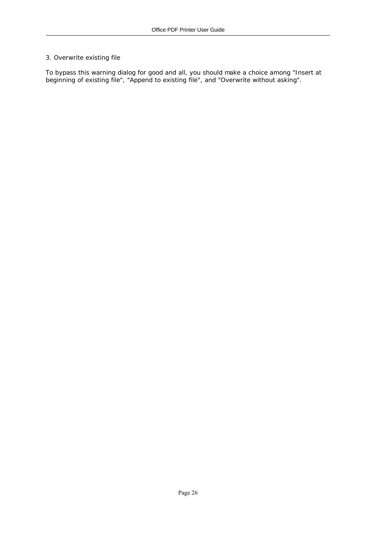#### 3. Overwrite existing file

To bypass this warning dialog for good and all, you should make a choice among "Insert at beginning of existing file", "Append to existing file", and "Overwrite without asking".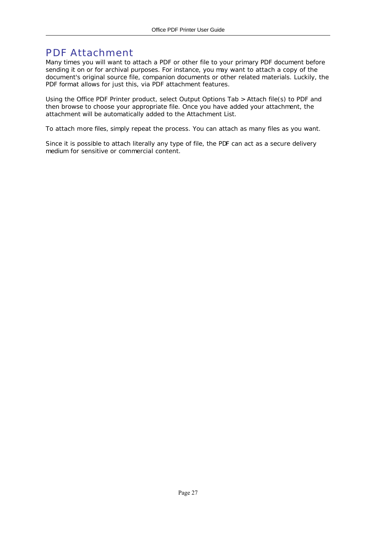## **PDF Attachment**

Many times you will want to attach a PDF or other file to your primary PDF document before sending it on or for archival purposes. For instance, you may want to attach a copy of the document's original source file, companion documents or other related materials. Luckily, the PDF format allows for just this, via PDF attachment features.

Using the Office PDF Printer product, select Output Options Tab > Attach file(s) to PDF and then browse to choose your appropriate file. Once you have added your attachment, the attachment will be automatically added to the Attachment List.

To attach more files, simply repeat the process. You can attach as many files as you want.

Since it is possible to attach literally any type of file, the PDF can act as a secure delivery medium for sensitive or commercial content.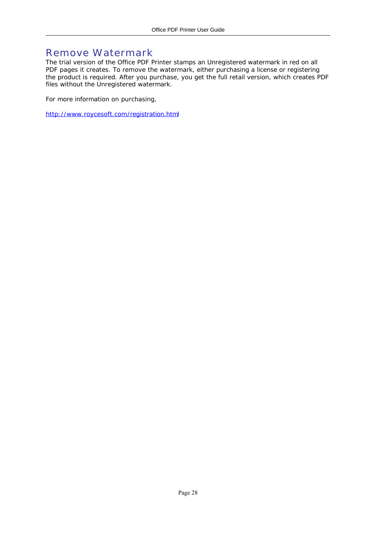## **Remove Watermark**

The trial version of the Office PDF Printer stamps an Unregistered watermark in red on all PDF pages it creates. To remove the watermark, either purchasing a license or registering the product is required. After you purchase, you get the full retail version, which creates PDF files without the Unregistered watermark.

For more information on purchasing,

[http://www.roycesoft.com/registration.html](http://www.roycepdf.com/registration.html)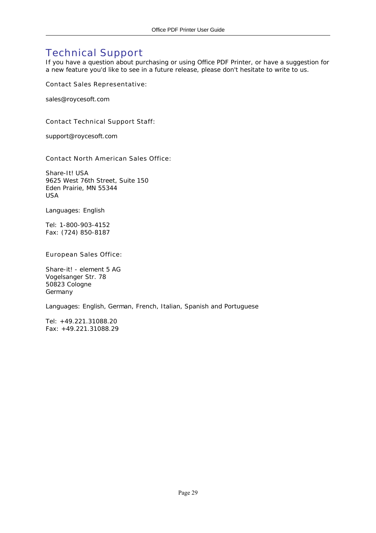## **Technical Support**

If you have a question about purchasing or using Office PDF Printer, or have a suggestion for a new feature you'd like to see in a future release, please don't hesitate to write to us.

**Contact Sales Representative:**

sales@roycesoft.com

**Contact Technical Support Staff:**

support@roycesoft.com

**Contact North American Sales Office:**

Share-It! USA 9625 West 76th Street, Suite 150 Eden Prairie, MN 55344 USA

Languages: English

Tel: 1-800-903-4152 Fax: (724) 850-8187

**European Sales Office:**

Share-it! - element 5 AG Vogelsanger Str. 78 50823 Cologne Germany

Languages: English, German, French, Italian, Spanish and Portuguese

Tel: +49.221.31088.20 Fax: +49.221.31088.29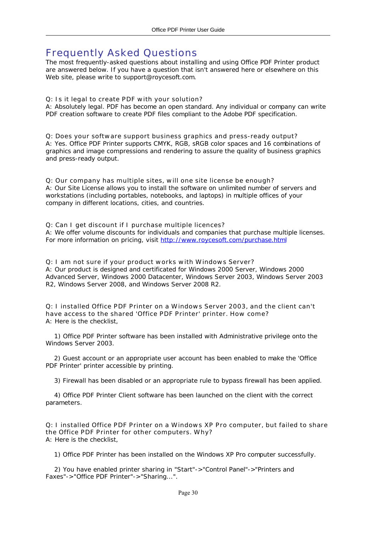## **Frequently Asked Questions**

The most frequently-asked questions about installing and using Office PDF Printer product are answered below. If you have a question that isn't answered here or elsewhere on this Web site, please write to support@roycesoft.com.

**Q: Is it legal to create PDF with your solution?**

A: Absolutely legal. PDF has become an open standard. Any individual or company can write PDF creation software to create PDF files compliant to the Adobe PDF specification.

**Q: Does your software support business graphics and press-ready output?** A: Yes. Office PDF Printer supports CMYK, RGB, sRGB color spaces and 16 combinations of graphics and image compressions and rendering to assure the quality of business graphics and press-ready output.

**Q: Our company has multiple sites, will one site license be enough?** A: Our Site License allows you to install the software on unlimited number of servers and workstations (including portables, notebooks, and laptops) in multiple offices of your company in different locations, cities, and countries.

**Q: Can I get discount if I purchase multiple licences?** A: We offer volume discounts for individuals and companies that purchase multiple licenses. For more information on pricing, visit <http://www.roycesoft.com/purchase.html>

**Q: I am not sure if your product works with Windows Server?** A: Our product is designed and certificated for Windows 2000 Server, Windows 2000 Advanced Server, Windows 2000 Datacenter, Windows Server 2003, Windows Server 2003 R2, Windows Server 2008, and Windows Server 2008 R2.

**Q: I installed Office PDF Printer on a Windows Server 2003, and the client can't have access to the shared 'Office PDF Printer' printer. How come?** A: Here is the checklist,

 1) Office PDF Printer software has been installed with Administrative privilege onto the Windows Server 2003.

 2) Guest account or an appropriate user account has been enabled to make the 'Office PDF Printer' printer accessible by printing.

3) Firewall has been disabled or an appropriate rule to bypass firewall has been applied.

 4) Office PDF Printer Client software has been launched on the client with the correct parameters.

**Q: I installed Office PDF Printer on a Windows XP Pro computer, but failed to share the Office PDF Printer for other computers. Why?** A: Here is the checklist,

1) Office PDF Printer has been installed on the Windows XP Pro computer successfully.

 2) You have enabled printer sharing in "Start"->"Control Panel"->"Printers and Faxes"->"Office PDF Printer"->"Sharing...".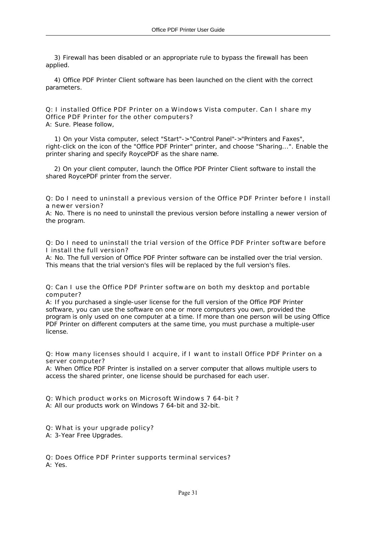3) Firewall has been disabled or an appropriate rule to bypass the firewall has been applied.

 4) Office PDF Printer Client software has been launched on the client with the correct parameters.

**Q: I installed Office PDF Printer on a Windows Vista computer. Can I share my Office PDF Printer for the other computers?** A: Sure. Please follow,

 1) On your Vista computer, select "Start"->"Control Panel"->"Printers and Faxes", right-click on the icon of the "Office PDF Printer" printer, and choose "Sharing...". Enable the printer sharing and specify RoycePDF as the share name.

 2) On your client computer, launch the Office PDF Printer Client software to install the shared RoycePDF printer from the server.

**Q: Do I need to uninstall a previous version of the Office PDF Printer before I install a newer version?**

A: No. There is no need to uninstall the previous version before installing a newer version of the program.

**Q: Do I need to uninstall the trial version of the Office PDF Printer software before I install the full version?**

A: No. The full version of Office PDF Printer software can be installed over the trial version. This means that the trial version's files will be replaced by the full version's files.

**Q: Can I use the Office PDF Printer software on both my desktop and portable computer?**

A: If you purchased a single-user license for the full version of the Office PDF Printer software, you can use the software on one or more computers you own, provided the program is only used on one computer at a time. If more than one person will be using Office PDF Printer on different computers at the same time, you must purchase a multiple-user license.

**Q: How many licenses should I acquire, if I want to install Office PDF Printer on a server computer?**

A: When Office PDF Printer is installed on a server computer that allows multiple users to access the shared printer, one license should be purchased for each user.

**Q: Which product works on Microsoft Windows 7 64-bit ?** A: All our products work on Windows 7 64-bit and 32-bit.

**Q: What is your upgrade policy?**

A: 3-Year Free Upgrades.

**Q: Does Office PDF Printer supports terminal services?** A: Yes.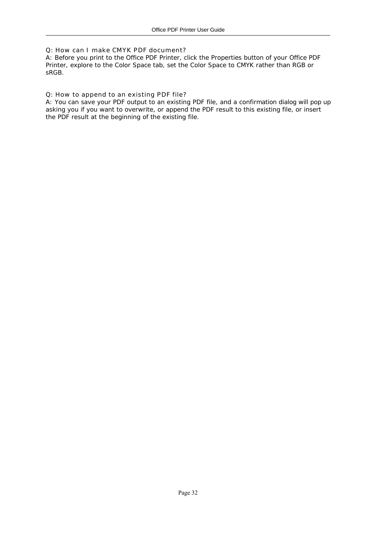**Q: How can I make CMYK PDF document?**

A: Before you print to the Office PDF Printer, click the Properties button of your Office PDF Printer, explore to the Color Space tab, set the Color Space to CMYK rather than RGB or sRGB.

**Q: How to append to an existing PDF file?**

A: You can save your PDF output to an existing PDF file, and a confirmation dialog will pop up asking you if you want to overwrite, or append the PDF result to this existing file, or insert the PDF result at the beginning of the existing file.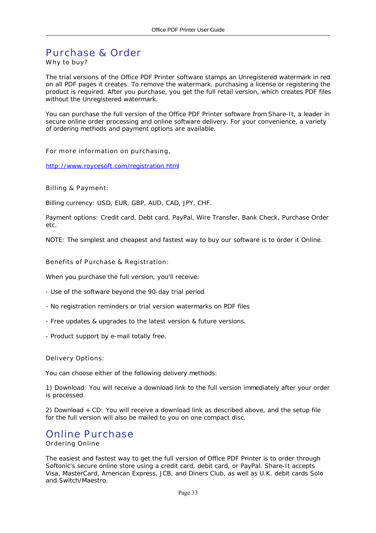## **Purchase & Order**

**Why to buy?**

The trial versions of the Office PDF Printer software stamps an Unregistered watermark in red on all PDF pages it creates. To remove the watermark, purchasing a license or registering the product is required. After you purchase, you get the full retail version, which creates PDF files without the Unregistered watermark.

You can purchase the full version of the Office PDF Printer software from Share-It, a leader in secure online order processing and online software delivery. For your convenience, a variety of ordering methods and payment options are available.

**For more information on purchasing,**

<http://www.roycesoft.com/registration.html>

**Billing & Payment:**

Billing currency: USD, EUR, GBP, AUD, CAD, JPY, CHF.

Payment options: Credit card, Debt card, PayPal, Wire Transfer, Bank Check, Purchase Order etc.

NOTE: The simplest and cheapest and fastest way to buy our software is to order it Online.

**Benefits of Purchase & Registration:**

When you purchase the full version, you'll receive:

- Use of the software beyond the 90-day trial period

- No registration reminders or trial version watermarks on PDF files
- Free updates & upgrades to the latest version & future versions.
- Product support by e-mail totally free.

**Delivery Options:**

You can choose either of the following delivery methods:

1) Download: You will receive a download link to the full version immediately after your order is processed.

2) Download + CD: You will receive a download link as described above, and the setup file for the full version will also be mailed to you on one compact disc.

#### **Online Purchase**

**Ordering Online**

The easiest and fastest way to get the full version of Office PDF Printer is to order through Softonic's secure online store using a credit card, debit card, or PayPal. Share-It accepts Visa, MasterCard, American Express, JCB, and Diners Club, as well as U.K. debit cards Solo and Switch/Maestro.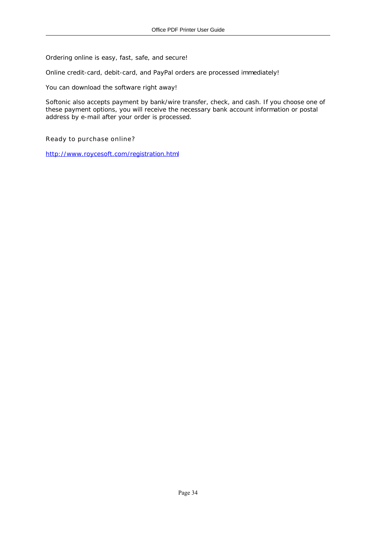Ordering online is easy, fast, safe, and secure!

Online credit-card, debit-card, and PayPal orders are processed immediately!

You can download the software right away!

Softonic also accepts payment by bank/wire transfer, check, and cash. If you choose one of these payment options, you will receive the necessary bank account information or postal address by e-mail after your order is processed.

**Ready to purchase online?**

<http://www.roycesoft.com/registration.html>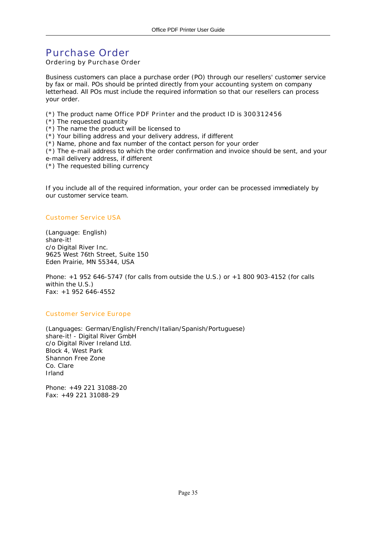## **Purchase Order**

**Ordering by Purchase Order**

Business customers can place a purchase order (PO) through our resellers' customer service by fax or mail. POs should be printed directly from your accounting system on company letterhead. All POs must include the required information so that our resellers can process your order.

- (\*) The product name **Office PDF Printer** and the product ID is **300312456**
- (\*) The requested quantity
- (\*) The name the product will be licensed to
- (\*) Your billing address and your delivery address, if different
- (\*) Name, phone and fax number of the contact person for your order
- (\*) The e-mail address to which the order confirmation and invoice should be sent, and your e-mail delivery address, if different
- (\*) The requested billing currency

If you include all of the required information, your order can be processed immediately by our customer service team.

#### **Customer Service USA**

(Language: English) share-it! c/o Digital River Inc. 9625 West 76th Street, Suite 150 Eden Prairie, MN 55344, USA

Phone: +1 952 646-5747 (for calls from outside the U.S.) or +1 800 903-4152 (for calls within the U.S.) Fax: +1 952 646-4552

#### **Customer Service Europe**

(Languages: German/English/French/Italian/Spanish/Portuguese) share-it! - Digital River GmbH c/o Digital River Ireland Ltd. Block 4, West Park Shannon Free Zone Co. Clare Irland

Phone: +49 221 31088-20 Fax: +49 221 31088-29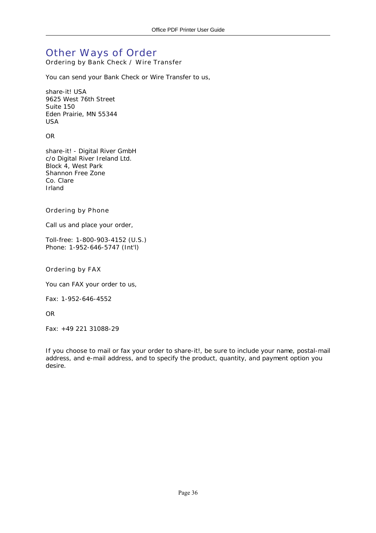## **Other Ways of Order**

**Ordering by Bank Check / Wire Transfer**

You can send your Bank Check or Wire Transfer to us,

share-it! USA 9625 West 76th Street Suite 150 Eden Prairie, MN 55344 USA

OR

share-it! - Digital River GmbH c/o Digital River Ireland Ltd. Block 4, West Park Shannon Free Zone Co. Clare Irland

**Ordering by Phone**

Call us and place your order,

Toll-free: 1-800-903-4152 (U.S.) Phone: 1-952-646-5747 (Int'l)

**Ordering by FAX**

You can FAX your order to us,

Fax: 1-952-646-4552

OR

Fax: +49 221 31088-29

If you choose to mail or fax your order to share-it!, be sure to include your name, postal-mail address, and e-mail address, and to specify the product, quantity, and payment option you desire.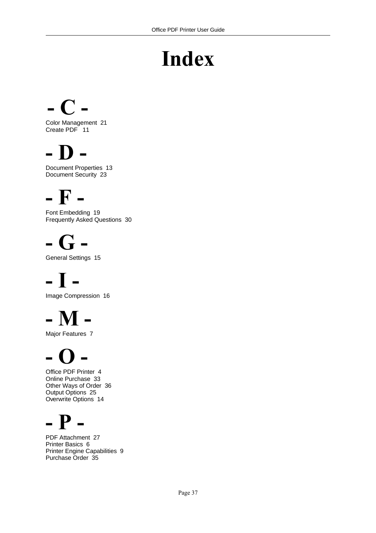# **Index**

**- C -**

Color Management 21 Create PDF 11



Document Properties 13 Document Security 23

## **- F -**

Font Embedding 19 Frequently Asked Questions 30



General Settings 15

# **- I -**

Image Compression 16



Major Features 7

# **- O -**

Office PDF Printer 4 Online Purchase 33 Other Ways of Order 36 Output Options 25 Overwrite Options 14

# **- P -**

PDF Attachment 27 Printer Basics 6 Printer Engine Capabilities 9 Purchase Order 35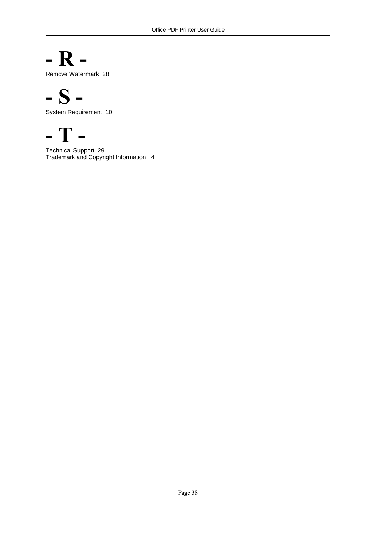**- R -** Remove Watermark 28

## **- S -**

System Requirement 10



Technical Support 29 Trademark and Copyright Information 4